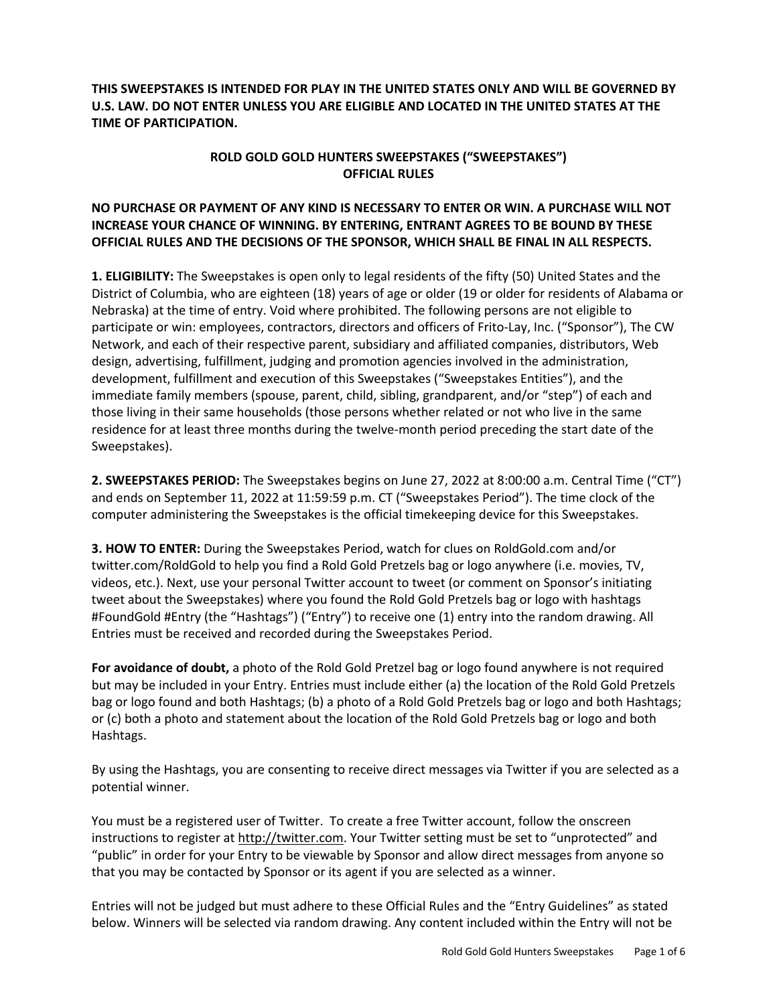**THIS SWEEPSTAKES IS INTENDED FOR PLAY IN THE UNITED STATES ONLY AND WILL BE GOVERNED BY U.S. LAW. DO NOT ENTER UNLESS YOU ARE ELIGIBLE AND LOCATED IN THE UNITED STATES AT THE TIME OF PARTICIPATION.**

## **ROLD GOLD GOLD HUNTERS SWEEPSTAKES ("SWEEPSTAKES") OFFICIAL RULES**

## **NO PURCHASE OR PAYMENT OF ANY KIND IS NECESSARY TO ENTER OR WIN. A PURCHASE WILL NOT INCREASE YOUR CHANCE OF WINNING. BY ENTERING, ENTRANT AGREES TO BE BOUND BY THESE OFFICIAL RULES AND THE DECISIONS OF THE SPONSOR, WHICH SHALL BE FINAL IN ALL RESPECTS.**

**1. ELIGIBILITY:** The Sweepstakes is open only to legal residents of the fifty (50) United States and the District of Columbia, who are eighteen (18) years of age or older (19 or older for residents of Alabama or Nebraska) at the time of entry. Void where prohibited. The following persons are not eligible to participate or win: employees, contractors, directors and officers of Frito-Lay, Inc. ("Sponsor"), The CW Network, and each of their respective parent, subsidiary and affiliated companies, distributors, Web design, advertising, fulfillment, judging and promotion agencies involved in the administration, development, fulfillment and execution of this Sweepstakes ("Sweepstakes Entities"), and the immediate family members (spouse, parent, child, sibling, grandparent, and/or "step") of each and those living in their same households (those persons whether related or not who live in the same residence for at least three months during the twelve-month period preceding the start date of the Sweepstakes).

**2. SWEEPSTAKES PERIOD:** The Sweepstakes begins on June 27, 2022 at 8:00:00 a.m. Central Time ("CT") and ends on September 11, 2022 at 11:59:59 p.m. CT ("Sweepstakes Period"). The time clock of the computer administering the Sweepstakes is the official timekeeping device for this Sweepstakes.

**3. HOW TO ENTER:** During the Sweepstakes Period, watch for clues on RoldGold.com and/or twitter.com/RoldGold to help you find a Rold Gold Pretzels bag or logo anywhere (i.e. movies, TV, videos, etc.). Next, use your personal Twitter account to tweet (or comment on Sponsor's initiating tweet about the Sweepstakes) where you found the Rold Gold Pretzels bag or logo with hashtags #FoundGold #Entry (the "Hashtags") ("Entry") to receive one (1) entry into the random drawing. All Entries must be received and recorded during the Sweepstakes Period.

**For avoidance of doubt,** a photo of the Rold Gold Pretzel bag or logo found anywhere is not required but may be included in your Entry. Entries must include either (a) the location of the Rold Gold Pretzels bag or logo found and both Hashtags; (b) a photo of a Rold Gold Pretzels bag or logo and both Hashtags; or (c) both a photo and statement about the location of the Rold Gold Pretzels bag or logo and both Hashtags.

By using the Hashtags, you are consenting to receive direct messages via Twitter if you are selected as a potential winner.

You must be a registered user of Twitter. To create a free Twitter account, follow the onscreen instructions to register at http://twitter.com. Your Twitter setting must be set to "unprotected" and "public" in order for your Entry to be viewable by Sponsor and allow direct messages from anyone so that you may be contacted by Sponsor or its agent if you are selected as a winner.

Entries will not be judged but must adhere to these Official Rules and the "Entry Guidelines" as stated below. Winners will be selected via random drawing. Any content included within the Entry will not be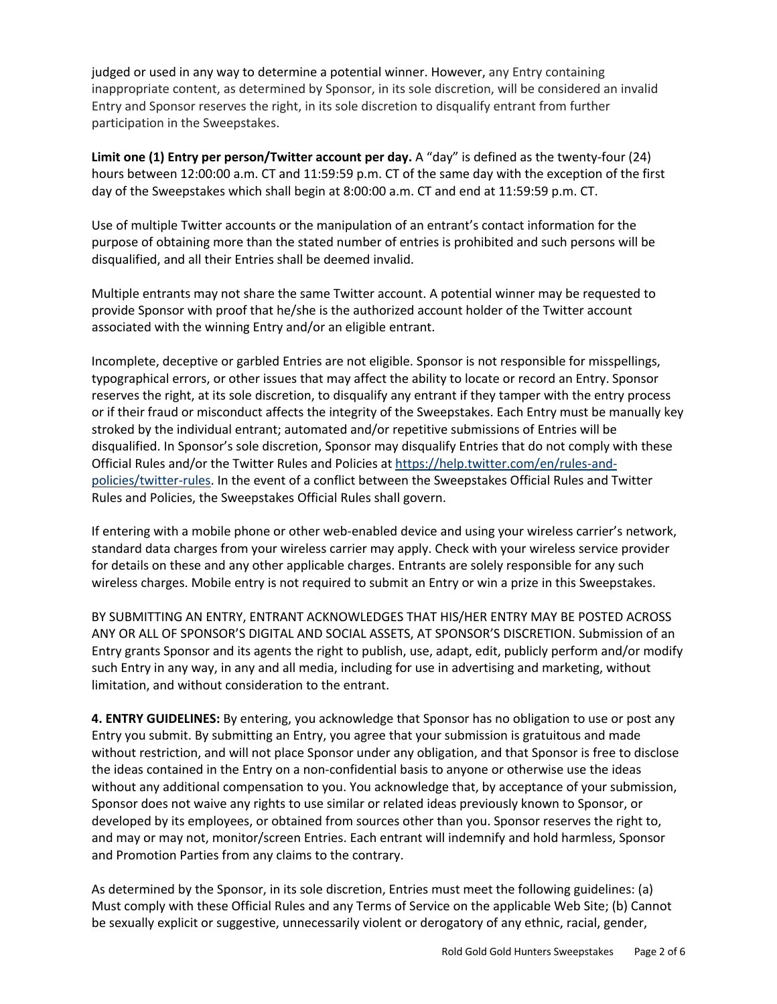judged or used in any way to determine a potential winner. However, any Entry containing inappropriate content, as determined by Sponsor, in its sole discretion, will be considered an invalid Entry and Sponsor reserves the right, in its sole discretion to disqualify entrant from further participation in the Sweepstakes.

**Limit one (1) Entry per person/Twitter account per day.** A "day" is defined as the twenty-four (24) hours between 12:00:00 a.m. CT and 11:59:59 p.m. CT of the same day with the exception of the first day of the Sweepstakes which shall begin at 8:00:00 a.m. CT and end at 11:59:59 p.m. CT.

Use of multiple Twitter accounts or the manipulation of an entrant's contact information for the purpose of obtaining more than the stated number of entries is prohibited and such persons will be disqualified, and all their Entries shall be deemed invalid.

Multiple entrants may not share the same Twitter account. A potential winner may be requested to provide Sponsor with proof that he/she is the authorized account holder of the Twitter account associated with the winning Entry and/or an eligible entrant.

Incomplete, deceptive or garbled Entries are not eligible. Sponsor is not responsible for misspellings, typographical errors, or other issues that may affect the ability to locate or record an Entry. Sponsor reserves the right, at its sole discretion, to disqualify any entrant if they tamper with the entry process or if their fraud or misconduct affects the integrity of the Sweepstakes. Each Entry must be manually key stroked by the individual entrant; automated and/or repetitive submissions of Entries will be disqualified. In Sponsor's sole discretion, Sponsor may disqualify Entries that do not comply with these Official Rules and/or the Twitter Rules and Policies at https://help.twitter.com/en/rules-andpolicies/twitter-rules. In the event of a conflict between the Sweepstakes Official Rules and Twitter Rules and Policies, the Sweepstakes Official Rules shall govern.

If entering with a mobile phone or other web-enabled device and using your wireless carrier's network, standard data charges from your wireless carrier may apply. Check with your wireless service provider for details on these and any other applicable charges. Entrants are solely responsible for any such wireless charges. Mobile entry is not required to submit an Entry or win a prize in this Sweepstakes.

BY SUBMITTING AN ENTRY, ENTRANT ACKNOWLEDGES THAT HIS/HER ENTRY MAY BE POSTED ACROSS ANY OR ALL OF SPONSOR'S DIGITAL AND SOCIAL ASSETS, AT SPONSOR'S DISCRETION. Submission of an Entry grants Sponsor and its agents the right to publish, use, adapt, edit, publicly perform and/or modify such Entry in any way, in any and all media, including for use in advertising and marketing, without limitation, and without consideration to the entrant.

**4. ENTRY GUIDELINES:** By entering, you acknowledge that Sponsor has no obligation to use or post any Entry you submit. By submitting an Entry, you agree that your submission is gratuitous and made without restriction, and will not place Sponsor under any obligation, and that Sponsor is free to disclose the ideas contained in the Entry on a non-confidential basis to anyone or otherwise use the ideas without any additional compensation to you. You acknowledge that, by acceptance of your submission, Sponsor does not waive any rights to use similar or related ideas previously known to Sponsor, or developed by its employees, or obtained from sources other than you. Sponsor reserves the right to, and may or may not, monitor/screen Entries. Each entrant will indemnify and hold harmless, Sponsor and Promotion Parties from any claims to the contrary.

As determined by the Sponsor, in its sole discretion, Entries must meet the following guidelines: (a) Must comply with these Official Rules and any Terms of Service on the applicable Web Site; (b) Cannot be sexually explicit or suggestive, unnecessarily violent or derogatory of any ethnic, racial, gender,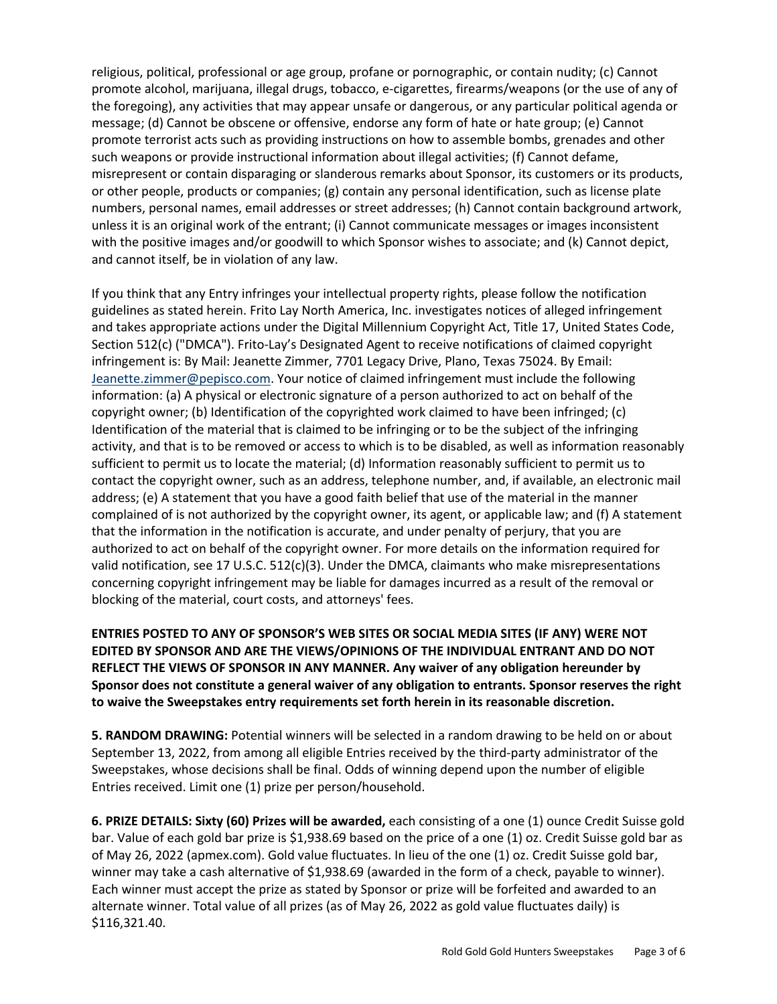religious, political, professional or age group, profane or pornographic, or contain nudity; (c) Cannot promote alcohol, marijuana, illegal drugs, tobacco, e-cigarettes, firearms/weapons (or the use of any of the foregoing), any activities that may appear unsafe or dangerous, or any particular political agenda or message; (d) Cannot be obscene or offensive, endorse any form of hate or hate group; (e) Cannot promote terrorist acts such as providing instructions on how to assemble bombs, grenades and other such weapons or provide instructional information about illegal activities; (f) Cannot defame, misrepresent or contain disparaging or slanderous remarks about Sponsor, its customers or its products, or other people, products or companies; (g) contain any personal identification, such as license plate numbers, personal names, email addresses or street addresses; (h) Cannot contain background artwork, unless it is an original work of the entrant; (i) Cannot communicate messages or images inconsistent with the positive images and/or goodwill to which Sponsor wishes to associate; and (k) Cannot depict, and cannot itself, be in violation of any law.

If you think that any Entry infringes your intellectual property rights, please follow the notification guidelines as stated herein. Frito Lay North America, Inc. investigates notices of alleged infringement and takes appropriate actions under the Digital Millennium Copyright Act, Title 17, United States Code, Section 512(c) ("DMCA"). Frito-Lay's Designated Agent to receive notifications of claimed copyright infringement is: By Mail: Jeanette Zimmer, 7701 Legacy Drive, Plano, Texas 75024. By Email: Jeanette.zimmer@pepisco.com. Your notice of claimed infringement must include the following information: (a) A physical or electronic signature of a person authorized to act on behalf of the copyright owner; (b) Identification of the copyrighted work claimed to have been infringed; (c) Identification of the material that is claimed to be infringing or to be the subject of the infringing activity, and that is to be removed or access to which is to be disabled, as well as information reasonably sufficient to permit us to locate the material; (d) Information reasonably sufficient to permit us to contact the copyright owner, such as an address, telephone number, and, if available, an electronic mail address; (e) A statement that you have a good faith belief that use of the material in the manner complained of is not authorized by the copyright owner, its agent, or applicable law; and (f) A statement that the information in the notification is accurate, and under penalty of perjury, that you are authorized to act on behalf of the copyright owner. For more details on the information required for valid notification, see 17 U.S.C. 512(c)(3). Under the DMCA, claimants who make misrepresentations concerning copyright infringement may be liable for damages incurred as a result of the removal or blocking of the material, court costs, and attorneys' fees.

**ENTRIES POSTED TO ANY OF SPONSOR'S WEB SITES OR SOCIAL MEDIA SITES (IF ANY) WERE NOT EDITED BY SPONSOR AND ARE THE VIEWS/OPINIONS OF THE INDIVIDUAL ENTRANT AND DO NOT REFLECT THE VIEWS OF SPONSOR IN ANY MANNER. Any waiver of any obligation hereunder by Sponsor does not constitute a general waiver of any obligation to entrants. Sponsor reserves the right to waive the Sweepstakes entry requirements set forth herein in its reasonable discretion.** 

**5. RANDOM DRAWING:** Potential winners will be selected in a random drawing to be held on or about September 13, 2022, from among all eligible Entries received by the third-party administrator of the Sweepstakes, whose decisions shall be final. Odds of winning depend upon the number of eligible Entries received. Limit one (1) prize per person/household.

**6. PRIZE DETAILS: Sixty (60) Prizes will be awarded,** each consisting of a one (1) ounce Credit Suisse gold bar. Value of each gold bar prize is \$1,938.69 based on the price of a one (1) oz. Credit Suisse gold bar as of May 26, 2022 (apmex.com). Gold value fluctuates. In lieu of the one (1) oz. Credit Suisse gold bar, winner may take a cash alternative of \$1,938.69 (awarded in the form of a check, payable to winner). Each winner must accept the prize as stated by Sponsor or prize will be forfeited and awarded to an alternate winner. Total value of all prizes (as of May 26, 2022 as gold value fluctuates daily) is \$116,321.40.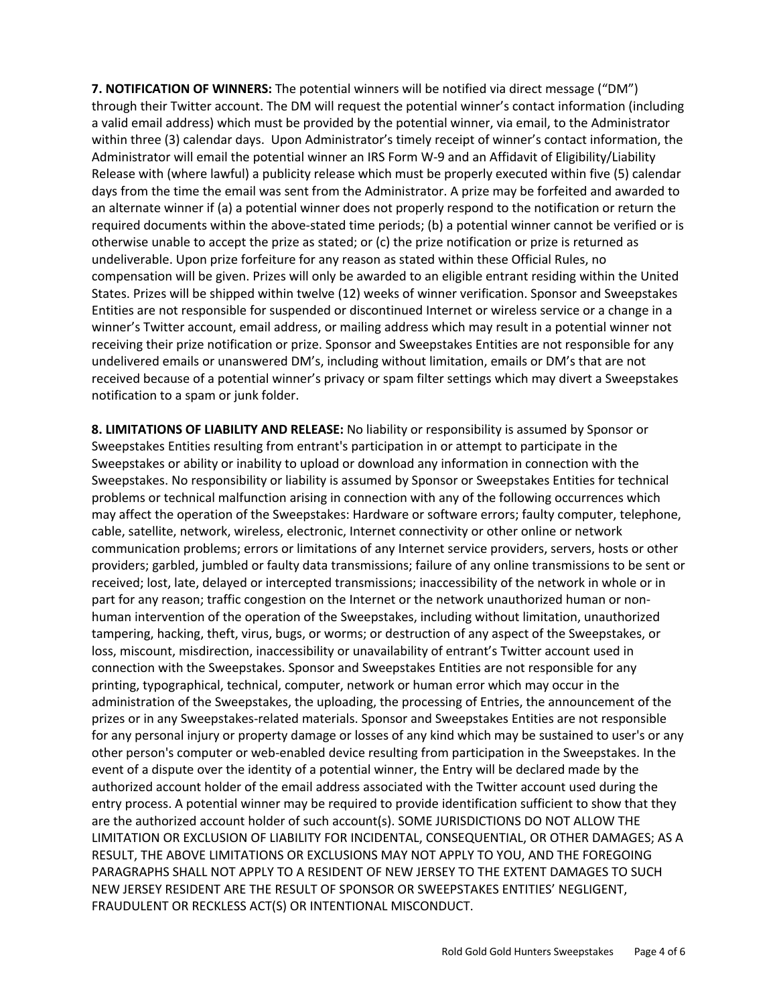**7. NOTIFICATION OF WINNERS:** The potential winners will be notified via direct message ("DM") through their Twitter account. The DM will request the potential winner's contact information (including a valid email address) which must be provided by the potential winner, via email, to the Administrator within three (3) calendar days. Upon Administrator's timely receipt of winner's contact information, the Administrator will email the potential winner an IRS Form W-9 and an Affidavit of Eligibility/Liability Release with (where lawful) a publicity release which must be properly executed within five (5) calendar days from the time the email was sent from the Administrator. A prize may be forfeited and awarded to an alternate winner if (a) a potential winner does not properly respond to the notification or return the required documents within the above-stated time periods; (b) a potential winner cannot be verified or is otherwise unable to accept the prize as stated; or (c) the prize notification or prize is returned as undeliverable. Upon prize forfeiture for any reason as stated within these Official Rules, no compensation will be given. Prizes will only be awarded to an eligible entrant residing within the United States. Prizes will be shipped within twelve (12) weeks of winner verification. Sponsor and Sweepstakes Entities are not responsible for suspended or discontinued Internet or wireless service or a change in a winner's Twitter account, email address, or mailing address which may result in a potential winner not receiving their prize notification or prize. Sponsor and Sweepstakes Entities are not responsible for any undelivered emails or unanswered DM's, including without limitation, emails or DM's that are not received because of a potential winner's privacy or spam filter settings which may divert a Sweepstakes notification to a spam or junk folder.

**8. LIMITATIONS OF LIABILITY AND RELEASE:** No liability or responsibility is assumed by Sponsor or Sweepstakes Entities resulting from entrant's participation in or attempt to participate in the Sweepstakes or ability or inability to upload or download any information in connection with the Sweepstakes. No responsibility or liability is assumed by Sponsor or Sweepstakes Entities for technical problems or technical malfunction arising in connection with any of the following occurrences which may affect the operation of the Sweepstakes: Hardware or software errors; faulty computer, telephone, cable, satellite, network, wireless, electronic, Internet connectivity or other online or network communication problems; errors or limitations of any Internet service providers, servers, hosts or other providers; garbled, jumbled or faulty data transmissions; failure of any online transmissions to be sent or received; lost, late, delayed or intercepted transmissions; inaccessibility of the network in whole or in part for any reason; traffic congestion on the Internet or the network unauthorized human or nonhuman intervention of the operation of the Sweepstakes, including without limitation, unauthorized tampering, hacking, theft, virus, bugs, or worms; or destruction of any aspect of the Sweepstakes, or loss, miscount, misdirection, inaccessibility or unavailability of entrant's Twitter account used in connection with the Sweepstakes. Sponsor and Sweepstakes Entities are not responsible for any printing, typographical, technical, computer, network or human error which may occur in the administration of the Sweepstakes, the uploading, the processing of Entries, the announcement of the prizes or in any Sweepstakes-related materials. Sponsor and Sweepstakes Entities are not responsible for any personal injury or property damage or losses of any kind which may be sustained to user's or any other person's computer or web-enabled device resulting from participation in the Sweepstakes. In the event of a dispute over the identity of a potential winner, the Entry will be declared made by the authorized account holder of the email address associated with the Twitter account used during the entry process. A potential winner may be required to provide identification sufficient to show that they are the authorized account holder of such account(s). SOME JURISDICTIONS DO NOT ALLOW THE LIMITATION OR EXCLUSION OF LIABILITY FOR INCIDENTAL, CONSEQUENTIAL, OR OTHER DAMAGES; AS A RESULT, THE ABOVE LIMITATIONS OR EXCLUSIONS MAY NOT APPLY TO YOU, AND THE FOREGOING PARAGRAPHS SHALL NOT APPLY TO A RESIDENT OF NEW JERSEY TO THE EXTENT DAMAGES TO SUCH NEW JERSEY RESIDENT ARE THE RESULT OF SPONSOR OR SWEEPSTAKES ENTITIES' NEGLIGENT, FRAUDULENT OR RECKLESS ACT(S) OR INTENTIONAL MISCONDUCT.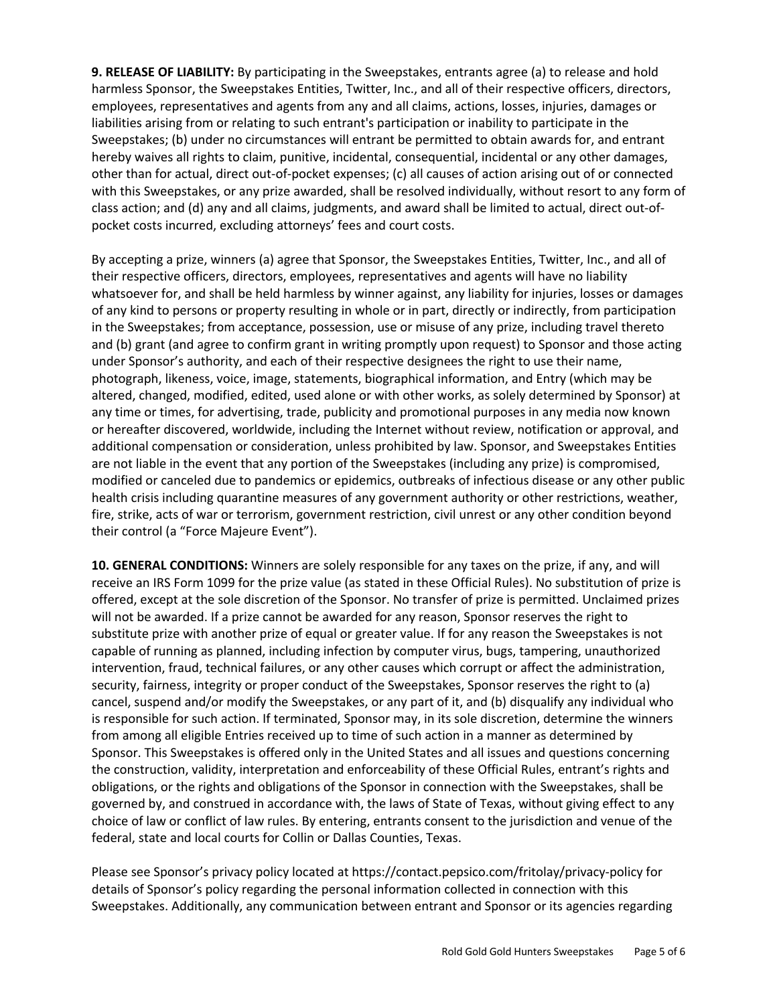**9. RELEASE OF LIABILITY:** By participating in the Sweepstakes, entrants agree (a) to release and hold harmless Sponsor, the Sweepstakes Entities, Twitter, Inc., and all of their respective officers, directors, employees, representatives and agents from any and all claims, actions, losses, injuries, damages or liabilities arising from or relating to such entrant's participation or inability to participate in the Sweepstakes; (b) under no circumstances will entrant be permitted to obtain awards for, and entrant hereby waives all rights to claim, punitive, incidental, consequential, incidental or any other damages, other than for actual, direct out-of-pocket expenses; (c) all causes of action arising out of or connected with this Sweepstakes, or any prize awarded, shall be resolved individually, without resort to any form of class action; and (d) any and all claims, judgments, and award shall be limited to actual, direct out-ofpocket costs incurred, excluding attorneys' fees and court costs.

By accepting a prize, winners (a) agree that Sponsor, the Sweepstakes Entities, Twitter, Inc., and all of their respective officers, directors, employees, representatives and agents will have no liability whatsoever for, and shall be held harmless by winner against, any liability for injuries, losses or damages of any kind to persons or property resulting in whole or in part, directly or indirectly, from participation in the Sweepstakes; from acceptance, possession, use or misuse of any prize, including travel thereto and (b) grant (and agree to confirm grant in writing promptly upon request) to Sponsor and those acting under Sponsor's authority, and each of their respective designees the right to use their name, photograph, likeness, voice, image, statements, biographical information, and Entry (which may be altered, changed, modified, edited, used alone or with other works, as solely determined by Sponsor) at any time or times, for advertising, trade, publicity and promotional purposes in any media now known or hereafter discovered, worldwide, including the Internet without review, notification or approval, and additional compensation or consideration, unless prohibited by law. Sponsor, and Sweepstakes Entities are not liable in the event that any portion of the Sweepstakes (including any prize) is compromised, modified or canceled due to pandemics or epidemics, outbreaks of infectious disease or any other public health crisis including quarantine measures of any government authority or other restrictions, weather, fire, strike, acts of war or terrorism, government restriction, civil unrest or any other condition beyond their control (a "Force Majeure Event").

**10. GENERAL CONDITIONS:** Winners are solely responsible for any taxes on the prize, if any, and will receive an IRS Form 1099 for the prize value (as stated in these Official Rules). No substitution of prize is offered, except at the sole discretion of the Sponsor. No transfer of prize is permitted. Unclaimed prizes will not be awarded. If a prize cannot be awarded for any reason, Sponsor reserves the right to substitute prize with another prize of equal or greater value. If for any reason the Sweepstakes is not capable of running as planned, including infection by computer virus, bugs, tampering, unauthorized intervention, fraud, technical failures, or any other causes which corrupt or affect the administration, security, fairness, integrity or proper conduct of the Sweepstakes, Sponsor reserves the right to (a) cancel, suspend and/or modify the Sweepstakes, or any part of it, and (b) disqualify any individual who is responsible for such action. If terminated, Sponsor may, in its sole discretion, determine the winners from among all eligible Entries received up to time of such action in a manner as determined by Sponsor. This Sweepstakes is offered only in the United States and all issues and questions concerning the construction, validity, interpretation and enforceability of these Official Rules, entrant's rights and obligations, or the rights and obligations of the Sponsor in connection with the Sweepstakes, shall be governed by, and construed in accordance with, the laws of State of Texas, without giving effect to any choice of law or conflict of law rules. By entering, entrants consent to the jurisdiction and venue of the federal, state and local courts for Collin or Dallas Counties, Texas.

Please see Sponsor's privacy policy located at https://contact.pepsico.com/fritolay/privacy-policy for details of Sponsor's policy regarding the personal information collected in connection with this Sweepstakes. Additionally, any communication between entrant and Sponsor or its agencies regarding